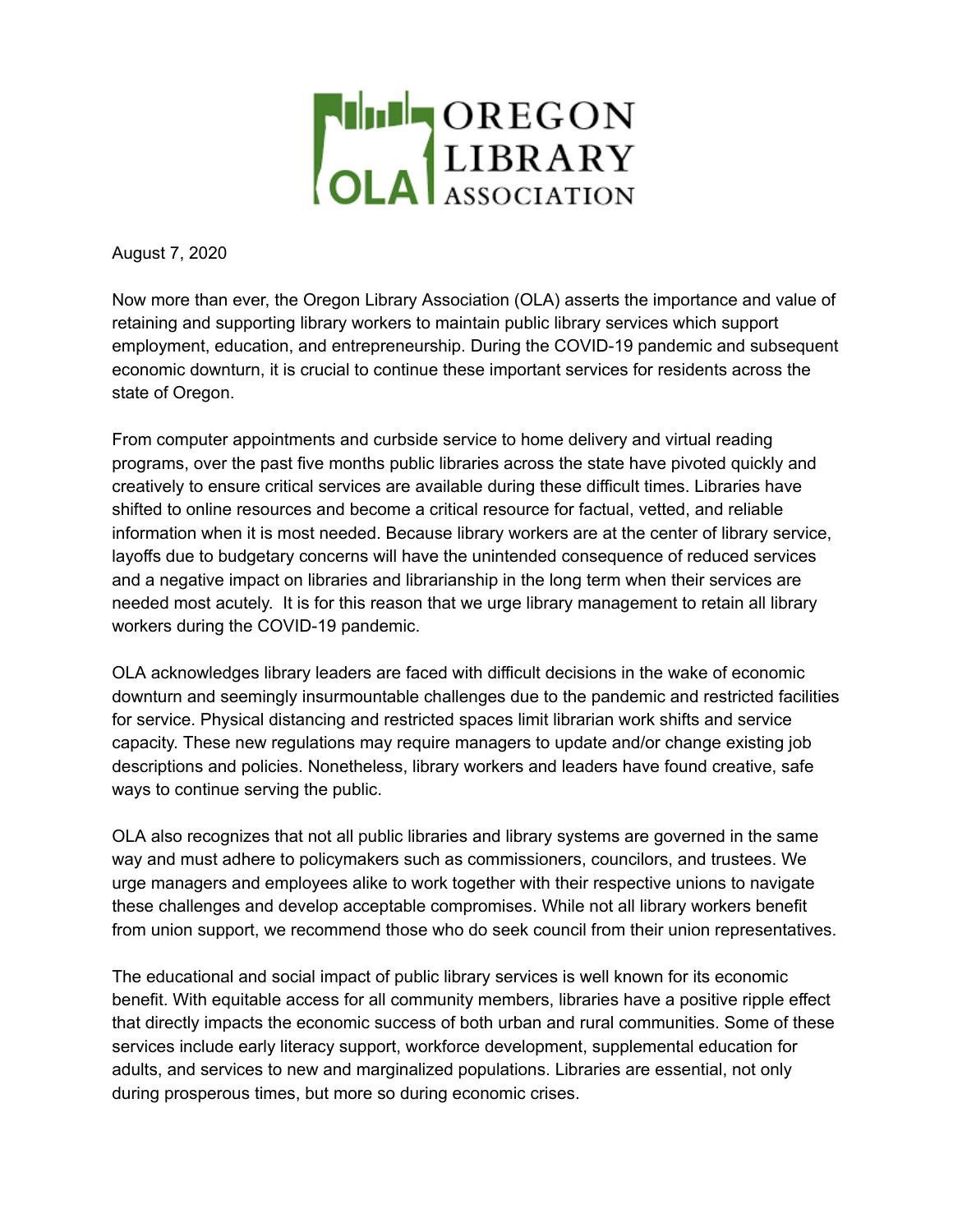

August 7, 2020

Now more than ever, the Oregon Library Association (OLA) asserts the importance and value of retaining and supporting library workers to maintain public library services which support employment, education, and entrepreneurship. During the COVID-19 pandemic and subsequent economic downturn, it is crucial to continue these important services for residents across the state of Oregon.

From computer appointments and curbside service to home delivery and virtual reading programs, over the past five months public libraries across the state have pivoted quickly and creatively to ensure critical services are available during these difficult times. Libraries have shifted to online resources and become a critical resource for factual, vetted, and reliable information when it is most needed. Because library workers are at the center of library service, layoffs due to budgetary concerns will have the unintended consequence of reduced services and a negative impact on libraries and librarianship in the long term when their services are needed most acutely. It is for this reason that we urge library management to retain all library workers during the COVID-19 pandemic.

OLA acknowledges library leaders are faced with difficult decisions in the wake of economic downturn and seemingly insurmountable challenges due to the pandemic and restricted facilities for service. Physical distancing and restricted spaces limit librarian work shifts and service capacity. These new regulations may require managers to update and/or change existing job descriptions and policies. Nonetheless, library workers and leaders have found creative, safe ways to continue serving the public.

OLA also recognizes that not all public libraries and library systems are governed in the same way and must adhere to policymakers such as commissioners, councilors, and trustees. We urge managers and employees alike to work together with their respective unions to navigate these challenges and develop acceptable compromises. While not all library workers benefit from union support, we recommend those who do seek council from their union representatives.

The educational and social impact of public library services is well known for its economic benefit. With equitable access for all community members, libraries have a positive ripple effect that directly impacts the economic success of both urban and rural communities. Some of these services include early literacy support, workforce development, supplemental education for adults, and services to new and marginalized populations. Libraries are essential, not only during prosperous times, but more so during economic crises.